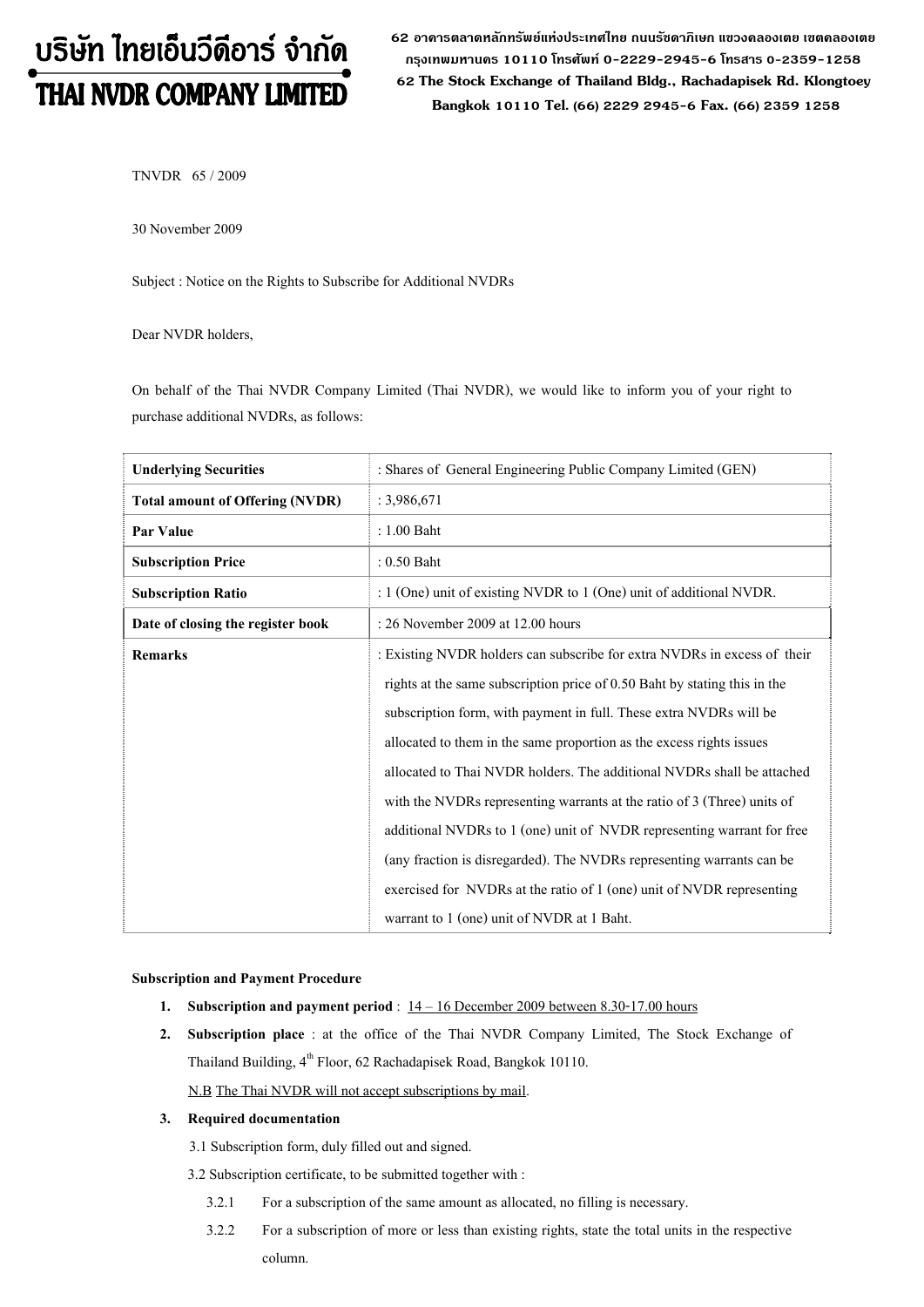# บริษัท ไทยเอ็นวีดีอาร์ จำกัด THAI NVDR COMPANY LIMITED

**62 อาคารตลาดหลักทรัพยแหงประเทศไทย ถนนรัชดาภิเษก แขวงคลองเตย เขตคลองเตย กรุงเทพมหานคร 10110 โทรศัพท 0-2229-2945-6 โทรสาร 0-2359-1258 62 The Stock Exchange of Thailand Bldg., Rachadapisek Rd. Klongtoey Bangkok 10110 Tel. (66) 2229 2945-6 Fax. (66) 2359 1258**

TNVDR 65 / 2009

30 November 2009

Subject : Notice on the Rights to Subscribe for Additional NVDRs

Dear NVDR holders,

On behalf of the Thai NVDR Company Limited (Thai NVDR), we would like to inform you of your right to purchase additional NVDRs, as follows:

| <b>Underlying Securities</b>           | : Shares of General Engineering Public Company Limited (GEN)              |
|----------------------------------------|---------------------------------------------------------------------------|
| <b>Total amount of Offering (NVDR)</b> | : 3,986,671                                                               |
| Par Value                              | : 1.00 Baht                                                               |
| <b>Subscription Price</b>              | $: 0.50$ Baht                                                             |
| <b>Subscription Ratio</b>              | : 1 (One) unit of existing NVDR to 1 (One) unit of additional NVDR.       |
| Date of closing the register book      | : 26 November 2009 at 12.00 hours                                         |
| <b>Remarks</b>                         | : Existing NVDR holders can subscribe for extra NVDRs in excess of their  |
|                                        | rights at the same subscription price of 0.50 Baht by stating this in the |
|                                        | subscription form, with payment in full. These extra NVDRs will be        |
|                                        | allocated to them in the same proportion as the excess rights issues      |
|                                        | allocated to Thai NVDR holders. The additional NVDRs shall be attached    |
|                                        | with the NVDRs representing warrants at the ratio of 3 (Three) units of   |
|                                        | additional NVDRs to 1 (one) unit of NVDR representing warrant for free    |
|                                        | (any fraction is disregarded). The NVDRs representing warrants can be     |
|                                        | exercised for NVDRs at the ratio of 1 (one) unit of NVDR representing     |
|                                        | warrant to 1 (one) unit of NVDR at 1 Baht.                                |

#### **Subscription and Payment Procedure**

- **1.** Subscription and payment period :  $14 16$  December 2009 between 8.30-17.00 hours
- **2. Subscription place** : at the office of the Thai NVDR Company Limited, The Stock Exchange of Thailand Building,  $4^{th}$  Floor, 62 Rachadapisek Road, Bangkok 10110. N.B The Thai NVDR will not accept subscriptions by mail.

#### **3. Required documentation**

- 3.1 Subscription form, duly filled out and signed.
- 3.2 Subscription certificate, to be submitted together with :
	- 3.2.1 For a subscription of the same amount as allocated, no filling is necessary.
	- 3.2.2 For a subscription of more or less than existing rights, state the total units in the respective column.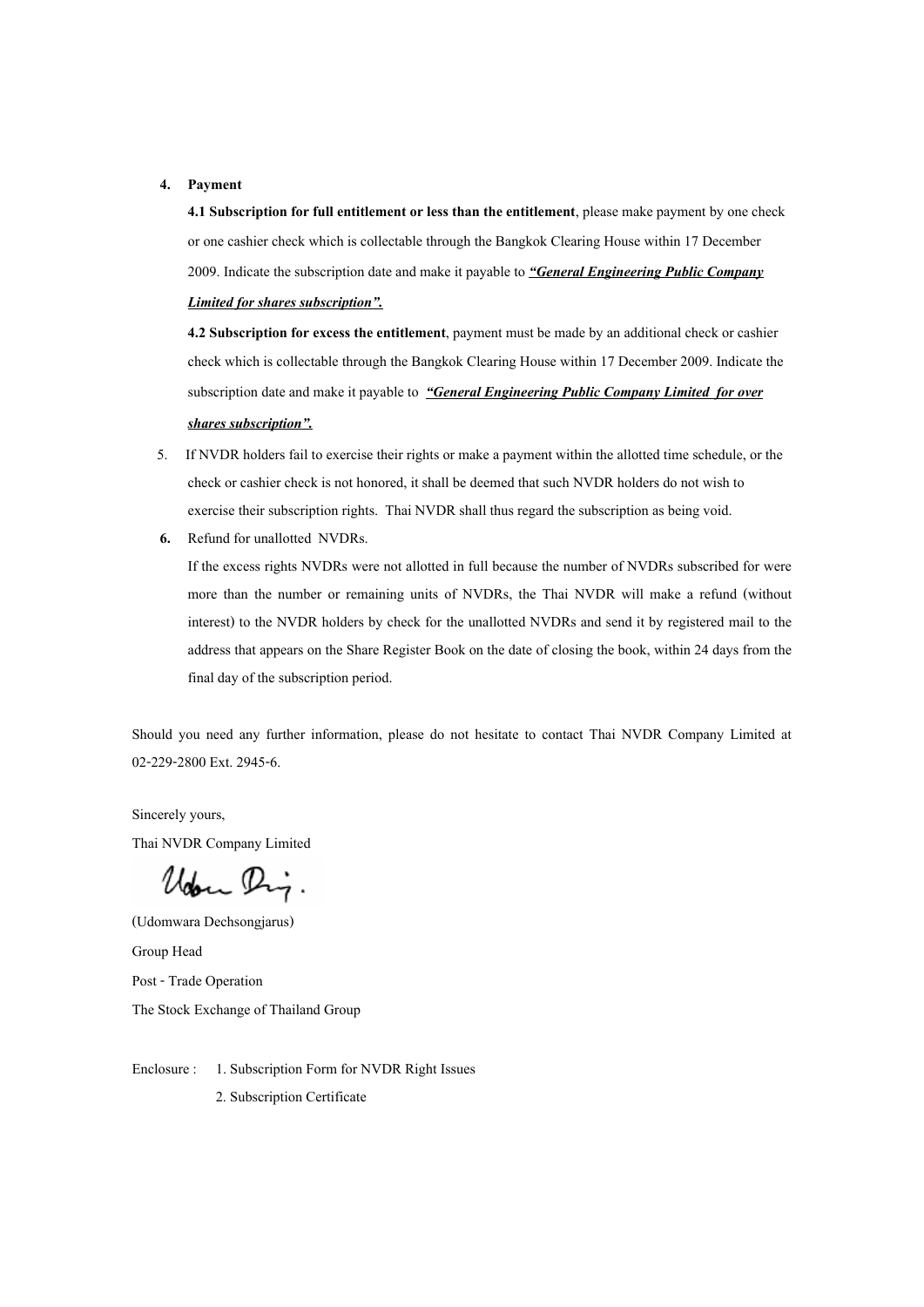#### **4. Payment**

**4.1 Subscription for full entitlement or less than the entitlement**, please make payment by one check or one cashier check which is collectable through the Bangkok Clearing House within 17 December 2009. Indicate the subscription date and make it payable to *"General Engineering Public Company* 

### *Limited for shares subscription".*

**4.2 Subscription for excess the entitlement**, payment must be made by an additional check or cashier check which is collectable through the Bangkok Clearing House within 17 December 2009. Indicate the subscription date and make it payable to *"General Engineering Public Company Limited**for over shares subscription".* 

- 5. If NVDR holders fail to exercise their rights or make a payment within the allotted time schedule, or the check or cashier check is not honored, it shall be deemed that such NVDR holders do not wish to exercise their subscription rights. Thai NVDR shall thus regard the subscription as being void.
- **6.** Refund for unallotted NVDRs.

If the excess rights NVDRs were not allotted in full because the number of NVDRs subscribed for were more than the number or remaining units of NVDRs, the Thai NVDR will make a refund (without interest) to the NVDR holders by check for the unallotted NVDRs and send it by registered mail to the address that appears on the Share Register Book on the date of closing the book, within 24 days from the final day of the subscription period.

Should you need any further information, please do not hesitate to contact Thai NVDR Company Limited at 02-229-2800 Ext. 2945-6.

Sincerely yours, Thai NVDR Company Limited

Uden Dig.

(Udomwara Dechsongjarus) Group Head Post - Trade Operation The Stock Exchange of Thailand Group

- Enclosure : 1. Subscription Form for NVDR Right Issues
	- 2. Subscription Certificate